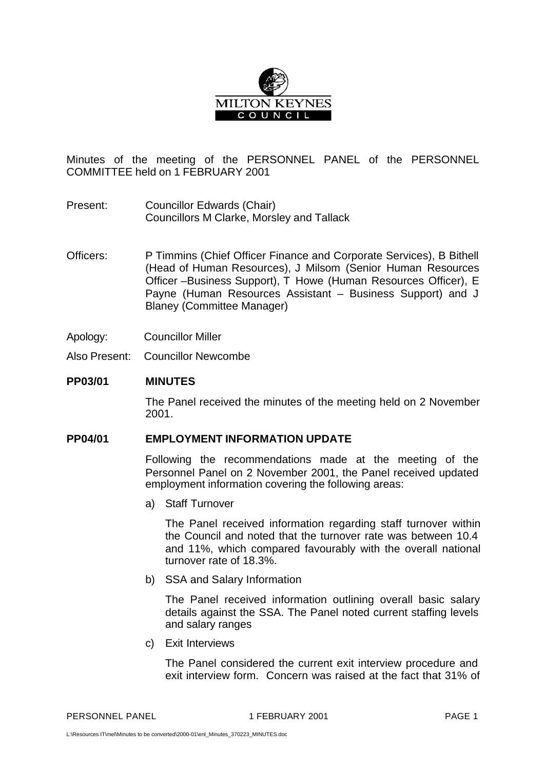

Minutes of the meeting of the PERSONNEL PANEL of the PERSONNEL COMMITTEE held on 1 FEBRUARY 2001

- Present: Councillor Edwards (Chair) Councillors M Clarke, Morsley and Tallack
- Officers: P Timmins (Chief Officer Finance and Corporate Services), B Bithell (Head of Human Resources), J Milsom (Senior Human Resources Officer –Business Support), T Howe (Human Resources Officer), E Payne (Human Resources Assistant – Business Support) and J Blaney (Committee Manager)
- Apology: Councillor Miller
- Also Present: Councillor Newcombe

## **PP03/01 MINUTES**

The Panel received the minutes of the meeting held on 2 November 2001.

## **PP04/01 EMPLOYMENT INFORMATION UPDATE**

Following the recommendations made at the meeting of the Personnel Panel on 2 November 2001, the Panel received updated employment information covering the following areas:

a) Staff Turnover

The Panel received information regarding staff turnover within the Council and noted that the turnover rate was between 10.4 and 11%, which compared favourably with the overall national turnover rate of 18.3%.

b) SSA and Salary Information

The Panel received information outlining overall basic salary details against the SSA. The Panel noted current staffing levels and salary ranges

c) Exit Interviews

The Panel considered the current exit interview procedure and exit interview form. Concern was raised at the fact that 31% of